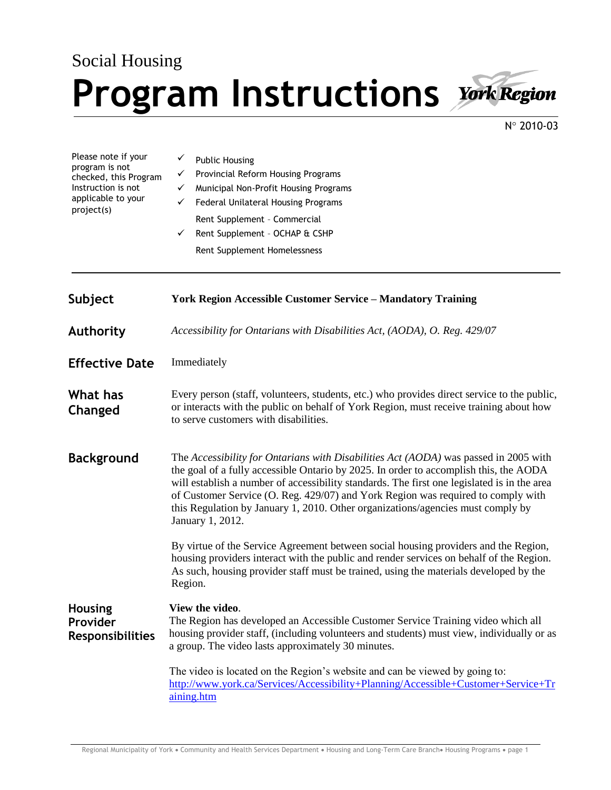## Social Housing **Program Instructions**



N° 2010-03

| Please note if your<br>program is not<br>checked, this Program<br>Instruction is not<br>applicable to your<br>project(s) | <b>Public Housing</b><br>Provincial Reform Housing Programs<br>✓<br>Municipal Non-Profit Housing Programs<br>✓<br>Federal Unilateral Housing Programs<br>✓<br>Rent Supplement - Commercial<br>Rent Supplement - OCHAP & CSHP<br>$\checkmark$<br>Rent Supplement Homelessness                                                                                                                                                                                            |
|--------------------------------------------------------------------------------------------------------------------------|-------------------------------------------------------------------------------------------------------------------------------------------------------------------------------------------------------------------------------------------------------------------------------------------------------------------------------------------------------------------------------------------------------------------------------------------------------------------------|
| Subject                                                                                                                  | <b>York Region Accessible Customer Service - Mandatory Training</b>                                                                                                                                                                                                                                                                                                                                                                                                     |
| <b>Authority</b>                                                                                                         | Accessibility for Ontarians with Disabilities Act, (AODA), O. Reg. 429/07                                                                                                                                                                                                                                                                                                                                                                                               |
| <b>Effective Date</b>                                                                                                    | Immediately                                                                                                                                                                                                                                                                                                                                                                                                                                                             |
| What has<br>Changed                                                                                                      | Every person (staff, volunteers, students, etc.) who provides direct service to the public,<br>or interacts with the public on behalf of York Region, must receive training about how<br>to serve customers with disabilities.                                                                                                                                                                                                                                          |
| <b>Background</b>                                                                                                        | The Accessibility for Ontarians with Disabilities Act (AODA) was passed in 2005 with<br>the goal of a fully accessible Ontario by 2025. In order to accomplish this, the AODA<br>will establish a number of accessibility standards. The first one legislated is in the area<br>of Customer Service (O. Reg. 429/07) and York Region was required to comply with<br>this Regulation by January 1, 2010. Other organizations/agencies must comply by<br>January 1, 2012. |
|                                                                                                                          | By virtue of the Service Agreement between social housing providers and the Region,<br>housing providers interact with the public and render services on behalf of the Region.<br>As such, housing provider staff must be trained, using the materials developed by the<br>Region.                                                                                                                                                                                      |
| <b>Housing</b><br>Provider<br><b>Responsibilities</b>                                                                    | View the video.<br>The Region has developed an Accessible Customer Service Training video which all<br>housing provider staff, (including volunteers and students) must view, individually or as<br>a group. The video lasts approximately 30 minutes.                                                                                                                                                                                                                  |
|                                                                                                                          | The video is located on the Region's website and can be viewed by going to:<br>http://www.york.ca/Services/Accessibility+Planning/Accessible+Customer+Service+Tr                                                                                                                                                                                                                                                                                                        |

[aining.htm](http://www.york.ca/Services/Accessibility+Planning/Accessible+Customer+Service+Training.htm)